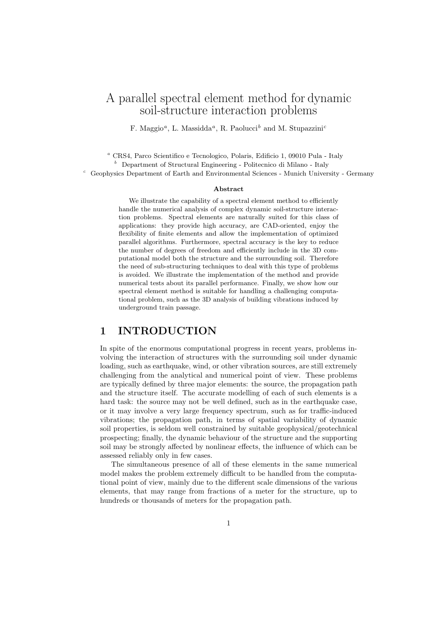# A parallel spectral element method for dynamic soil-structure interaction problems

F. Maggio<sup>a</sup>, L. Massidda<sup>a</sup>, R. Paolucci<sup>b</sup> and M. Stupazzini<sup>c</sup>

 $^a$  CRS4, Parco Scientifico e Tecnologico, Polaris, Edificio 1, 09010 Pula - Italy

 $b$  Department of Structural Engineering - Politecnico di Milano - Italy

<sup>c</sup> Geophysics Department of Earth and Environmental Sciences - Munich University - Germany

#### Abstract

We illustrate the capability of a spectral element method to efficiently handle the numerical analysis of complex dynamic soil-structure interaction problems. Spectral elements are naturally suited for this class of applications: they provide high accuracy, are CAD-oriented, enjoy the flexibility of finite elements and allow the implementation of optimized parallel algorithms. Furthermore, spectral accuracy is the key to reduce the number of degrees of freedom and efficiently include in the 3D computational model both the structure and the surrounding soil. Therefore the need of sub-structuring techniques to deal with this type of problems is avoided. We illustrate the implementation of the method and provide numerical tests about its parallel performance. Finally, we show how our spectral element method is suitable for handling a challenging computational problem, such as the 3D analysis of building vibrations induced by underground train passage.

### 1 INTRODUCTION

In spite of the enormous computational progress in recent years, problems involving the interaction of structures with the surrounding soil under dynamic loading, such as earthquake, wind, or other vibration sources, are still extremely challenging from the analytical and numerical point of view. These problems are typically defined by three major elements: the source, the propagation path and the structure itself. The accurate modelling of each of such elements is a hard task: the source may not be well defined, such as in the earthquake case, or it may involve a very large frequency spectrum, such as for traffic-induced vibrations; the propagation path, in terms of spatial variability of dynamic soil properties, is seldom well constrained by suitable geophysical/geotechnical prospecting; finally, the dynamic behaviour of the structure and the supporting soil may be strongly affected by nonlinear effects, the influence of which can be assessed reliably only in few cases.

The simultaneous presence of all of these elements in the same numerical model makes the problem extremely difficult to be handled from the computational point of view, mainly due to the different scale dimensions of the various elements, that may range from fractions of a meter for the structure, up to hundreds or thousands of meters for the propagation path.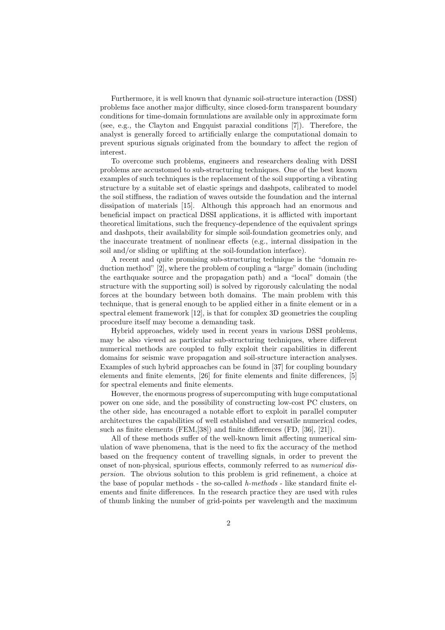Furthermore, it is well known that dynamic soil-structure interaction (DSSI) problems face another major difficulty, since closed-form transparent boundary conditions for time-domain formulations are available only in approximate form (see, e.g., the Clayton and Engquist paraxial conditions [7]). Therefore, the analyst is generally forced to artificially enlarge the computational domain to prevent spurious signals originated from the boundary to affect the region of interest.

To overcome such problems, engineers and researchers dealing with DSSI problems are accustomed to sub-structuring techniques. One of the best known examples of such techniques is the replacement of the soil supporting a vibrating structure by a suitable set of elastic springs and dashpots, calibrated to model the soil stiffness, the radiation of waves outside the foundation and the internal dissipation of materials [15]. Although this approach had an enormous and beneficial impact on practical DSSI applications, it is afflicted with important theoretical limitations, such the frequency-dependence of the equivalent springs and dashpots, their availability for simple soil-foundation geometries only, and the inaccurate treatment of nonlinear effects (e.g., internal dissipation in the soil and/or sliding or uplifting at the soil-foundation interface).

A recent and quite promising sub-structuring technique is the "domain reduction method" [2], where the problem of coupling a "large" domain (including the earthquake source and the propagation path) and a "local" domain (the structure with the supporting soil) is solved by rigorously calculating the nodal forces at the boundary between both domains. The main problem with this technique, that is general enough to be applied either in a finite element or in a spectral element framework [12], is that for complex 3D geometries the coupling procedure itself may become a demanding task.

Hybrid approaches, widely used in recent years in various DSSI problems, may be also viewed as particular sub-structuring techniques, where different numerical methods are coupled to fully exploit their capabilities in different domains for seismic wave propagation and soil-structure interaction analyses. Examples of such hybrid approaches can be found in [37] for coupling boundary elements and finite elements, [26] for finite elements and finite differences, [5] for spectral elements and finite elements.

However, the enormous progress of supercomputing with huge computational power on one side, and the possibility of constructing low-cost PC clusters, on the other side, has encouraged a notable effort to exploit in parallel computer architectures the capabilities of well established and versatile numerical codes, such as finite elements (FEM,[38]) and finite differences (FD, [36], [21]).

All of these methods suffer of the well-known limit affecting numerical simulation of wave phenomena, that is the need to fix the accuracy of the method based on the frequency content of travelling signals, in order to prevent the onset of non-physical, spurious effects, commonly referred to as numerical dispersion. The obvious solution to this problem is grid refinement, a choice at the base of popular methods - the so-called h-methods - like standard finite elements and finite differences. In the research practice they are used with rules of thumb linking the number of grid-points per wavelength and the maximum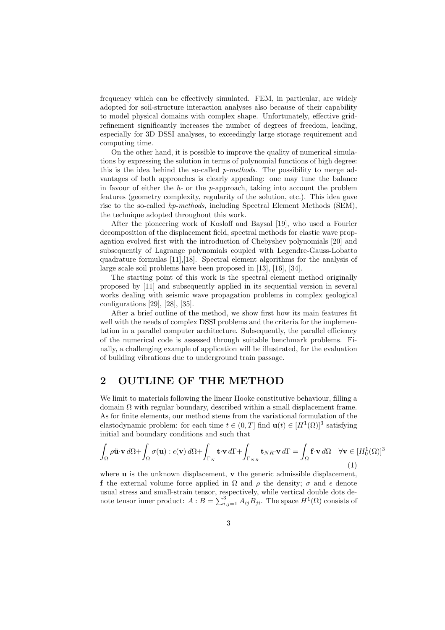frequency which can be effectively simulated. FEM, in particular, are widely adopted for soil-structure interaction analyses also because of their capability to model physical domains with complex shape. Unfortunately, effective gridrefinement significantly increases the number of degrees of freedom, leading, especially for 3D DSSI analyses, to exceedingly large storage requirement and computing time.

On the other hand, it is possible to improve the quality of numerical simulations by expressing the solution in terms of polynomial functions of high degree: this is the idea behind the so-called p-methods. The possibility to merge advantages of both approaches is clearly appealing: one may tune the balance in favour of either the  $h$ - or the p-approach, taking into account the problem features (geometry complexity, regularity of the solution, etc.). This idea gave rise to the so-called hp-methods, including Spectral Element Methods (SEM), the technique adopted throughout this work.

After the pioneering work of Kosloff and Baysal [19], who used a Fourier decomposition of the displacement field, spectral methods for elastic wave propagation evolved first with the introduction of Chebyshev polynomials [20] and subsequently of Lagrange polynomials coupled with Legendre-Gauss-Lobatto quadrature formulas [11],[18]. Spectral element algorithms for the analysis of large scale soil problems have been proposed in [13], [16], [34].

The starting point of this work is the spectral element method originally proposed by [11] and subsequently applied in its sequential version in several works dealing with seismic wave propagation problems in complex geological configurations [29], [28], [35].

After a brief outline of the method, we show first how its main features fit well with the needs of complex DSSI problems and the criteria for the implementation in a parallel computer architecture. Subsequently, the parallel efficiency of the numerical code is assessed through suitable benchmark problems. Finally, a challenging example of application will be illustrated, for the evaluation of building vibrations due to underground train passage.

## 2 OUTLINE OF THE METHOD

We limit to materials following the linear Hooke constitutive behaviour, filling a domain  $\Omega$  with regular boundary, described within a small displacement frame. As for finite elements, our method stems from the variational formulation of the elastodynamic problem: for each time  $t \in (0,T]$  find  $\mathbf{u}(t) \in [H^1(\Omega)]^3$  satisfying initial and boundary conditions and such that

$$
\int_{\Omega} \rho \ddot{\mathbf{u}} \cdot \mathbf{v} \, d\Omega + \int_{\Omega} \sigma(\mathbf{u}) : \epsilon(\mathbf{v}) \, d\Omega + \int_{\Gamma_N} \mathbf{t} \cdot \mathbf{v} \, d\Gamma + \int_{\Gamma_{NR}} \mathbf{t}_{NR} \cdot \mathbf{v} \, d\Gamma = \int_{\Omega} \mathbf{f} \cdot \mathbf{v} \, d\Omega \quad \forall \mathbf{v} \in [H_0^1(\Omega)]^3
$$
\n(1)

where  $\bf{u}$  is the unknown displacement,  $\bf{v}$  the generic admissible displacement, f the external volume force applied in  $\Omega$  and  $\rho$  the density;  $\sigma$  and  $\epsilon$  denote usual stress and small-strain tensor, respectively, while vertical double dots denote tensor inner product:  $A : B = \sum_{i,j=1}^{3} A_{ij} B_{ji}$ . The space  $H^{1}(\Omega)$  consists of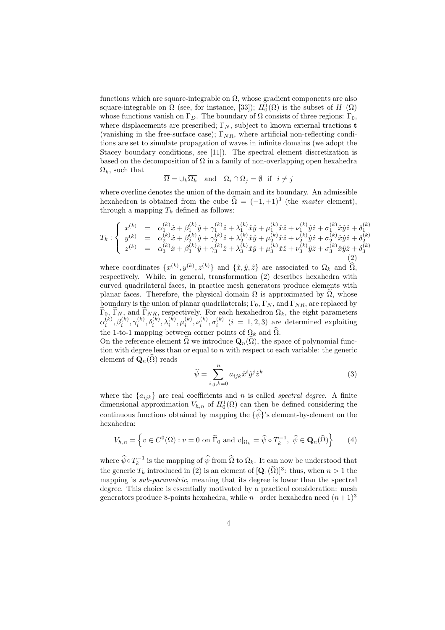functions which are square-integrable on  $\Omega$ , whose gradient components are also square-integrable on  $\Omega$  (see, for instance, [33]);  $H_0^1(\Omega)$  is the subset of  $H^1(\Omega)$ whose functions vanish on  $\Gamma_D$ . The boundary of  $\Omega$  consists of three regions:  $\Gamma_0$ , where displacements are prescribed;  $\Gamma_N$ , subject to known external tractions **t** (vanishing in the free-surface case);  $\Gamma_{NR}$ , where artificial non-reflecting conditions are set to simulate propagation of waves in infinite domains (we adopt the Stacey boundary conditions, see [11]). The spectral element discretization is based on the decomposition of  $\Omega$  in a family of non-overlapping open hexahedra  $\Omega_k$ , such that

$$
\overline{\Omega} = \cup_k \overline{\Omega_k}
$$
 and  $\Omega_i \cap \Omega_j = \emptyset$  if  $i \neq j$ 

where overline denotes the union of the domain and its boundary. An admissible hexahedron is obtained from the cube  $\hat{\Omega} = (-1, +1)^3$  (the *master* element), through a mapping  $T_k$  defined as follows:

$$
T_k: \begin{cases} x^{(k)} = \alpha_1^{(k)} \hat{x} + \beta_1^{(k)} \hat{y} + \gamma_1^{(k)} \hat{z} + \lambda_1^{(k)} \hat{x} \hat{y} + \mu_1^{(k)} \hat{x} \hat{z} + \nu_1^{(k)} \hat{y} \hat{z} + \sigma_1^{(k)} \hat{x} \hat{y} \hat{z} + \delta_1^{(k)} \\ y^{(k)} = \alpha_2^{(k)} \hat{x} + \beta_2^{(k)} \hat{y} + \gamma_2^{(k)} \hat{z} + \lambda_2^{(k)} \hat{x} \hat{y} + \mu_2^{(k)} \hat{x} \hat{z} + \nu_2^{(k)} \hat{y} \hat{z} + \sigma_2^{(k)} \hat{x} \hat{y} \hat{z} + \delta_2^{(k)} \\ z^{(k)} = \alpha_3^{(k)} \hat{x} + \beta_3^{(k)} \hat{y} + \gamma_3^{(k)} \hat{z} + \lambda_3^{(k)} \hat{x} \hat{y} + \mu_3^{(k)} \hat{x} \hat{z} + \nu_3^{(k)} \hat{y} \hat{z} + \sigma_3^{(k)} \hat{x} \hat{y} \hat{z} + \delta_3^{(k)} \\ (2) \end{cases}
$$

where coordinates  $\{x^{(k)}, y^{(k)}, z^{(k)}\}$  and  $\{\hat{x}, \hat{y}, \hat{z}\}$  are associated to  $\Omega_k$  and  $\widehat{\Omega}$ , respectively. While, in general, transformation (2) describes hexahedra with curved quadrilateral faces, in practice mesh generators produce elements with planar faces. Therefore, the physical domain  $\Omega$  is approximated by  $\Omega$ , whose boundary is the union of planar quadrilaterals;  $\Gamma_0$ ,  $\Gamma_N$ , and  $\Gamma_{NR}$ , are replaced by  $\Gamma_{0}$ ,  $\Gamma_{N}$ , and  $\Gamma_{NR}$ , respectively. For each hexahedron  $\Omega_{k}$ , the eight parameters  $\alpha_i^{(k)}, \beta_i^{(k)}, \gamma_i^{(k)}, \delta_i^{(k)}, \lambda_i^{(k)}, \mu_i^{(k)}, \nu_i^{(k)}, \sigma_i^{(k)}$  (*i* = 1, 2, 3) are determined exploiting the 1-to-1 mapping between corner points of  $\Omega_k$  and  $\widehat{\Omega}$ .

On the reference element  $\Omega$  we introduce  $\mathbf{Q}_n(\Omega)$ , the space of polynomial function with degree less than or equal to  $n$  with respect to each variable: the generic element of  $\mathbf{Q}_n(\widehat{\Omega})$  reads

$$
\widehat{\psi} = \sum_{i,j,k=0}^{n} a_{ijk} \widehat{x}^i \widehat{y}^j \widehat{z}^k
$$
\n(3)

where the  $\{a_{ijk}\}\$ are real coefficients and n is called spectral degree. A finite dimensional approximation  $V_{h,n}$  of  $H_0^1(\Omega)$  can then be defined considering the continuous functions obtained by mapping the  $\{\hat{\psi}\}$ 's element-by-element on the hexahedra:

$$
V_{h,n} = \left\{ v \in C^0(\Omega) : v = 0 \text{ on } \widetilde{\Gamma}_0 \text{ and } v|_{\Omega_k} = \widehat{\psi} \circ T_k^{-1}, \ \widehat{\psi} \in \mathbf{Q}_n(\widehat{\Omega}) \right\} \tag{4}
$$

where  $\hat{\psi} \circ T_k^{-1}$  is the mapping of  $\hat{\psi}$  from  $\hat{\Omega}$  to  $\Omega_k$ . It can now be understood that the generic  $T_k$  introduced in (2) is an element of  $[Q_1(\hat{\Omega})]^3$ : thus, when  $n > 1$  the mapping is *sub-parametric*, meaning that its degree is lower than the spectral degree. This choice is essentially motivated by a practical consideration: mesh generators produce 8-points hexahedra, while n–order hexahedra need  $(n+1)^3$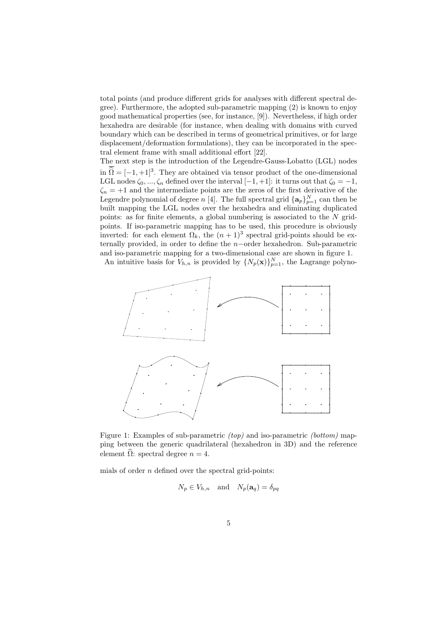total points (and produce different grids for analyses with different spectral degree). Furthermore, the adopted sub-parametric mapping (2) is known to enjoy good mathematical properties (see, for instance, [9]). Nevertheless, if high order hexahedra are desirable (for instance, when dealing with domains with curved boundary which can be described in terms of geometrical primitives, or for large displacement/deformation formulations), they can be incorporated in the spectral element frame with small additional effort [22].

The next step is the introduction of the Legendre-Gauss-Lobatto (LGL) nodes in  $\hat{\Omega} = [-1, +1]^3$ . They are obtained via tensor product of the one-dimensional LGL nodes  $\zeta_0, ..., \zeta_n$  defined over the interval  $[-1, +1]$ : it turns out that  $\zeta_0 = -1$ ,  $\zeta_n = +1$  and the intermediate points are the zeros of the first derivative of the Legendre polynomial of degree n [4]. The full spectral grid  $\{a_p\}_{p=1}^N$  can then be built mapping the LGL nodes over the hexahedra and eliminating duplicated points: as for finite elements, a global numbering is associated to the  $N$  gridpoints. If iso-parametric mapping has to be used, this procedure is obviously inverted: for each element  $\Omega_k$ , the  $(n+1)^3$  spectral grid-points should be externally provided, in order to define the n−order hexahedron. Sub-parametric and iso-parametric mapping for a two-dimensional case are shown in figure 1.

An intuitive basis for  $V_{h,n}$  is provided by  $\{N_p(\mathbf{x})\}_{p=1}^N$ , the Lagrange polyno-



Figure 1: Examples of sub-parametric *(top)* and iso-parametric *(bottom)* mapping between the generic quadrilateral (hexahedron in 3D) and the reference element  $\widehat{\Omega}$ : spectral degree  $n = 4$ .

mials of order  $n$  defined over the spectral grid-points:

$$
N_p \in V_{h,n}
$$
 and  $N_p(\mathbf{a}_q) = \delta_{pq}$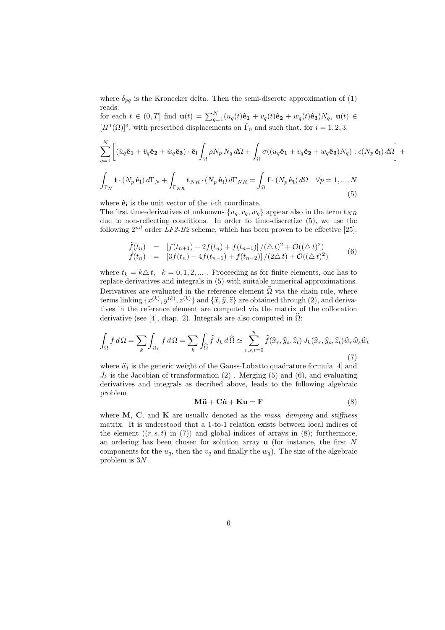where  $\delta_{pq}$  is the Kronecker delta. Then the semi-discrete approximation of (1) reads:

for each  $t \in (0,T]$  find  $\mathbf{u}(t) = \sum_{q=1}^{N} (u_q(t)\hat{\mathbf{e}}_1 + v_q(t)\hat{\mathbf{e}}_2 + w_q(t)\hat{\mathbf{e}}_3)N_q$ ,  $\mathbf{u}(t) \in$  $[H<sup>1</sup>(\Omega)]<sup>3</sup>$ , with prescribed displacements on  $\Gamma_0$  and such that, for  $i = 1, 2, 3$ :

$$
\sum_{q=1}^{N} \left[ (\ddot{u}_q \hat{\mathbf{e}}_1 + \ddot{v}_q \hat{\mathbf{e}}_2 + \ddot{w}_q \hat{\mathbf{e}}_3) \cdot \hat{\mathbf{e}}_i \int_{\Omega} \rho N_p N_q \, d\Omega + \int_{\Omega} \sigma ((u_q \hat{\mathbf{e}}_1 + v_q \hat{\mathbf{e}}_2 + w_q \hat{\mathbf{e}}_3) N_q) : \epsilon (N_p \hat{\mathbf{e}}_i) \, d\Omega \right] +
$$
  

$$
\int_{\Gamma_N} \mathbf{t} \cdot (N_p \hat{\mathbf{e}}_i) \, d\Gamma_N + \int_{\Gamma_{NR}} \mathbf{t}_{NR} \cdot (N_p \hat{\mathbf{e}}_i) \, d\Gamma_{NR} = \int_{\Omega} \mathbf{f} \cdot (N_p \hat{\mathbf{e}}_i) \, d\Omega \quad \forall p = 1, ..., N
$$
(5)

where  $\hat{\mathbf{e}}_i$  is the unit vector of the *i*-th coordinate.

The first time-derivatives of unknowns  $\{u_q, v_q, w_q\}$  appear also in the term  $\mathbf{t}_{NR}$ due to non-reflecting conditions. In order to time-discretize (5), we use the following  $2^{nd}$  order LF2-B2 scheme, which has been proven to be effective [25]:

$$
\ddot{f}(t_n) = [f(t_{n+1}) - 2f(t_n) + f(t_{n-1})]/(\Delta t)^2 + \mathcal{O}((\Delta t)^2)
$$
  
\n
$$
\dot{f}(t_n) = [3f(t_n) - 4f(t_{n-1}) + f(t_{n-2})]/(2\Delta t) + \mathcal{O}((\Delta t)^2)
$$
\n(6)

where  $t_k = k\Delta t$ ,  $k = 0, 1, 2, ...$  Proceeding as for finite elements, one has to replace derivatives and integrals in (5) with suitable numerical approximations. Derivatives are evaluated in the reference element  $\hat{\Omega}$  via the chain rule, where terms linking  $\{x^{(k)}, y^{(k)}, z^{(k)}\}$  and  $\{\hat{x}, \hat{y}, \hat{z}\}$  are obtained through (2), and derivatives in the reference element are computed via the matrix of the collocation derivative (see [4], chap. 2). Integrals are also computed in  $\Omega$ :

$$
\int_{\Omega} f d\Omega = \sum_{k} \int_{\Omega_{k}} f d\Omega = \sum_{k} \int_{\widehat{\Omega}} \widehat{f} J_{k} d\widehat{\Omega} \simeq \sum_{r,s,t=0}^{n} \widehat{f}(\widehat{x}_{r}, \widehat{y}_{s}, \widehat{z}_{t}) J_{k}(\widehat{x}_{r}, \widehat{y}_{s}, \widehat{z}_{t}) \widehat{w}_{r} \widehat{w}_{s} \widehat{w}_{t}
$$
\n(7)

where  $\hat{w}_l$  is the generic weight of the Gauss-Lobatto quadrature formula [4] and  $J_k$  is the Jacobian of transformation (2). Merging (5) and (6), and evaluating derivatives and integrals as decribed above, leads to the following algebraic problem

$$
\mathbf{M}\ddot{\mathbf{u}} + \mathbf{C}\dot{\mathbf{u}} + \mathbf{K}\mathbf{u} = \mathbf{F} \tag{8}
$$

where  $M$ ,  $C$ , and  $K$  are usually denoted as the *mass*, *damping* and *stiffness* matrix. It is understood that a 1-to-1 relation exists between local indices of the element  $((r, s, t)$  in (7)) and global indices of arrays in (8); furthermore, an ordering has been chosen for solution array  $\bf{u}$  (for instance, the first N components for the  $u_q$ , then the  $v_q$  and finally the  $w_q$ ). The size of the algebraic problem is 3N.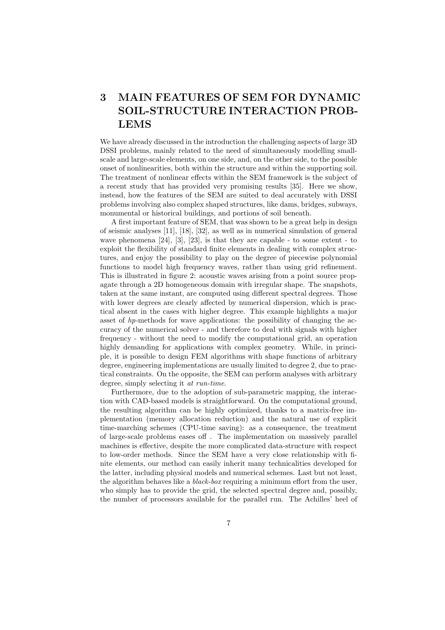# 3 MAIN FEATURES OF SEM FOR DYNAMIC SOIL-STRUCTURE INTERACTION PROB-LEMS

We have already discussed in the introduction the challenging aspects of large 3D DSSI problems, mainly related to the need of simultaneously modelling smallscale and large-scale elements, on one side, and, on the other side, to the possible onset of nonlinearities, both within the structure and within the supporting soil. The treatment of nonlinear effects within the SEM framework is the subject of a recent study that has provided very promising results [35]. Here we show, instead, how the features of the SEM are suited to deal accurately with DSSI problems involving also complex shaped structures, like dams, bridges, subways, monumental or historical buildings, and portions of soil beneath.

A first important feature of SEM, that was shown to be a great help in design of seismic analyses [11], [18], [32], as well as in numerical simulation of general wave phenomena [24], [3], [23], is that they are capable - to some extent - to exploit the flexibility of standard finite elements in dealing with complex structures, and enjoy the possibility to play on the degree of piecewise polynomial functions to model high frequency waves, rather than using grid refinement. This is illustrated in figure 2: acoustic waves arising from a point source propagate through a 2D homogeneous domain with irregular shape. The snapshots, taken at the same instant, are computed using different spectral degrees. Those with lower degrees are clearly affected by numerical dispersion, which is practical absent in the cases with higher degree. This example highlights a major asset of hp-methods for wave applications: the possibility of changing the accuracy of the numerical solver - and therefore to deal with signals with higher frequency - without the need to modify the computational grid, an operation highly demanding for applications with complex geometry. While, in principle, it is possible to design FEM algorithms with shape functions of arbitrary degree, engineering implementations are usually limited to degree 2, due to practical constraints. On the opposite, the SEM can perform analyses with arbitrary degree, simply selecting it at run-time.

Furthermore, due to the adoption of sub-parametric mapping, the interaction with CAD-based models is straightforward. On the computational ground, the resulting algorithm can be highly optimized, thanks to a matrix-free implementation (memory allocation reduction) and the natural use of explicit time-marching schemes (CPU-time saving): as a consequence, the treatment of large-scale problems eases off . The implementation on massively parallel machines is effective, despite the more complicated data-structure with respect to low-order methods. Since the SEM have a very close relationship with finite elements, our method can easily inherit many technicalities developed for the latter, including physical models and numerical schemes. Last but not least, the algorithm behaves like a black-box requiring a minimum effort from the user, who simply has to provide the grid, the selected spectral degree and, possibly, the number of processors available for the parallel run. The Achilles' heel of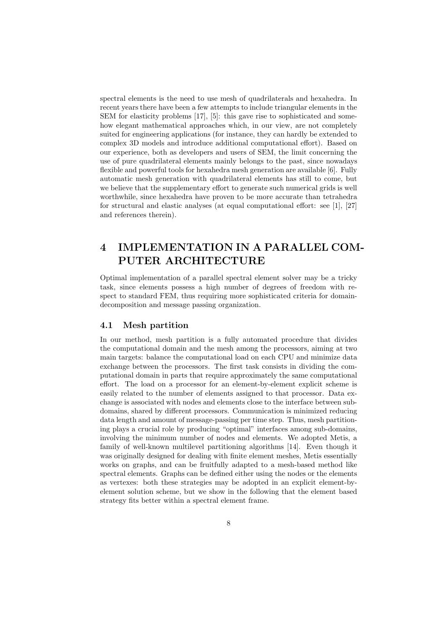spectral elements is the need to use mesh of quadrilaterals and hexahedra. In recent years there have been a few attempts to include triangular elements in the SEM for elasticity problems [17], [5]: this gave rise to sophisticated and somehow elegant mathematical approaches which, in our view, are not completely suited for engineering applications (for instance, they can hardly be extended to complex 3D models and introduce additional computational effort). Based on our experience, both as developers and users of SEM, the limit concerning the use of pure quadrilateral elements mainly belongs to the past, since nowadays flexible and powerful tools for hexahedra mesh generation are available [6]. Fully automatic mesh generation with quadrilateral elements has still to come, but we believe that the supplementary effort to generate such numerical grids is well worthwhile, since hexahedra have proven to be more accurate than tetrahedra for structural and elastic analyses (at equal computational effort: see [1], [27] and references therein).

## 4 IMPLEMENTATION IN A PARALLEL COM-PUTER ARCHITECTURE

Optimal implementation of a parallel spectral element solver may be a tricky task, since elements possess a high number of degrees of freedom with respect to standard FEM, thus requiring more sophisticated criteria for domaindecomposition and message passing organization.

#### 4.1 Mesh partition

In our method, mesh partition is a fully automated procedure that divides the computational domain and the mesh among the processors, aiming at two main targets: balance the computational load on each CPU and minimize data exchange between the processors. The first task consists in dividing the computational domain in parts that require approximately the same computational effort. The load on a processor for an element-by-element explicit scheme is easily related to the number of elements assigned to that processor. Data exchange is associated with nodes and elements close to the interface between subdomains, shared by different processors. Communication is minimized reducing data length and amount of message-passing per time step. Thus, mesh partitioning plays a crucial role by producing "optimal" interfaces among sub-domains, involving the minimum number of nodes and elements. We adopted Metis, a family of well-known multilevel partitioning algorithms [14]. Even though it was originally designed for dealing with finite element meshes, Metis essentially works on graphs, and can be fruitfully adapted to a mesh-based method like spectral elements. Graphs can be defined either using the nodes or the elements as vertexes: both these strategies may be adopted in an explicit element-byelement solution scheme, but we show in the following that the element based strategy fits better within a spectral element frame.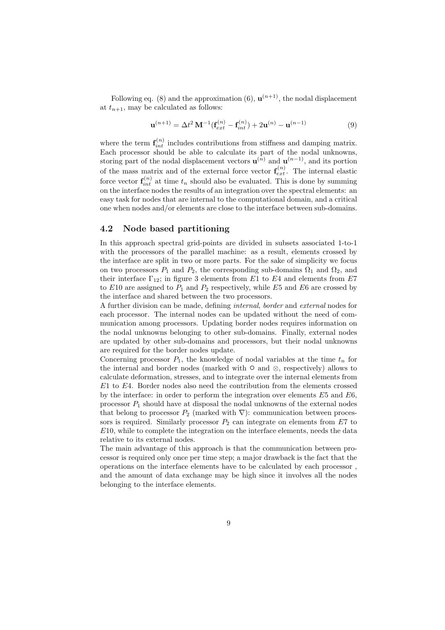Following eq. (8) and the approximation (6),  $\mathbf{u}^{(n+1)}$ , the nodal displacement at  $t_{n+1}$ , may be calculated as follows:

$$
\mathbf{u}^{(n+1)} = \Delta t^2 \mathbf{M}^{-1} (\mathbf{f}_{ext}^{(n)} - \mathbf{f}_{int}^{(n)}) + 2\mathbf{u}^{(n)} - \mathbf{u}^{(n-1)}
$$
(9)

where the term  $f_{int}^{(n)}$  includes contributions from stiffness and damping matrix. Each processor should be able to calculate its part of the nodal unknowns, storing part of the nodal displacement vectors  $\mathbf{u}^{(n)}$  and  $\mathbf{u}^{(n-1)}$ , and its portion of the mass matrix and of the external force vector  $\mathbf{f}_{ext}^{(n)}$ . The internal elastic force vector  $\mathbf{f}_{int}^{(n)}$  at time  $t_n$  should also be evaluated. This is done by summing on the interface nodes the results of an integration over the spectral elements: an easy task for nodes that are internal to the computational domain, and a critical one when nodes and/or elements are close to the interface between sub-domains.

### 4.2 Node based partitioning

In this approach spectral grid-points are divided in subsets associated 1-to-1 with the processors of the parallel machine: as a result, elements crossed by the interface are split in two or more parts. For the sake of simplicity we focus on two processors  $P_1$  and  $P_2$ , the corresponding sub-domains  $\Omega_1$  and  $\Omega_2$ , and their interface  $\Gamma_{12}$ ; in figure 3 elements from E1 to E4 and elements from E7 to  $E10$  are assigned to  $P_1$  and  $P_2$  respectively, while  $E5$  and  $E6$  are crossed by the interface and shared between the two processors.

A further division can be made, defining internal, border and external nodes for each processor. The internal nodes can be updated without the need of communication among processors. Updating border nodes requires information on the nodal unknowns belonging to other sub-domains. Finally, external nodes are updated by other sub-domains and processors, but their nodal unknowns are required for the border nodes update.

Concerning processor  $P_1$ , the knowledge of nodal variables at the time  $t_n$  for the internal and border nodes (marked with  $\circ$  and  $\otimes$ , respectively) allows to calculate deformation, stresses, and to integrate over the internal elements from E1 to E4. Border nodes also need the contribution from the elements crossed by the interface: in order to perform the integration over elements E5 and E6, processor  $P_1$  should have at disposal the nodal unknowns of the external nodes that belong to processor  $P_2$  (marked with  $\nabla$ ): communication between processors is required. Similarly processor  $P_2$  can integrate on elements from  $E7$  to E10, while to complete the integration on the interface elements, needs the data relative to its external nodes.

The main advantage of this approach is that the communication between processor is required only once per time step; a major drawback is the fact that the operations on the interface elements have to be calculated by each processor , and the amount of data exchange may be high since it involves all the nodes belonging to the interface elements.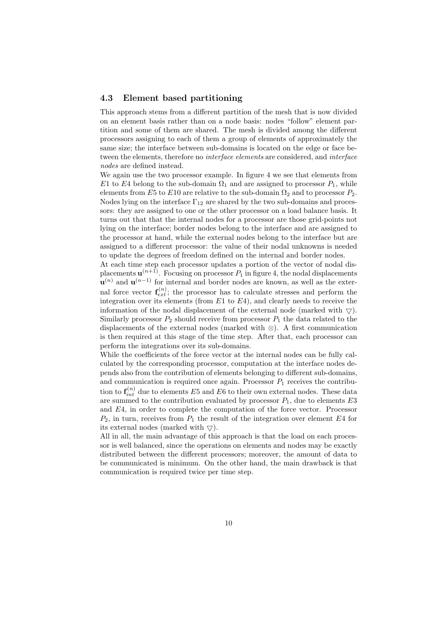#### 4.3 Element based partitioning

This approach stems from a different partition of the mesh that is now divided on an element basis rather than on a node basis: nodes "follow" element partition and some of them are shared. The mesh is divided among the different processors assigning to each of them a group of elements of approximately the same size; the interface between sub-domains is located on the edge or face between the elements, therefore no interface elements are considered, and interface nodes are defined instead.

We again use the two processor example. In figure 4 we see that elements from E1 to E4 belong to the sub-domain  $\Omega_1$  and are assigned to processor  $P_1$ , while elements from E5 to E10 are relative to the sub-domain  $\Omega_2$  and to processor  $P_2$ . Nodes lying on the interface  $\Gamma_{12}$  are shared by the two sub-domains and processors: they are assigned to one or the other processor on a load balance basis. It turns out that that the internal nodes for a processor are those grid-points not lying on the interface; border nodes belong to the interface and are assigned to the processor at hand, while the external nodes belong to the interface but are assigned to a different processor: the value of their nodal unknowns is needed to update the degrees of freedom defined on the internal and border nodes.

At each time step each processor updates a portion of the vector of nodal displacements  $\mathbf{u}^{(n+1)}$ . Focusing on processor  $P_1$  in figure 4, the nodal displacements  $\mathbf{u}^{(n)}$  and  $\mathbf{u}^{(n-1)}$  for internal and border nodes are known, as well as the external force vector  $f_{ext}^{(n)}$ ; the processor has to calculate stresses and perform the integration over its elements (from  $E1$  to  $E4$ ), and clearly needs to receive the information of the nodal displacement of the external node (marked with  $\bigtriangledown$ ). Similarly processor  $P_2$  should receive from processor  $P_1$  the data related to the displacements of the external nodes (marked with ⊗). A first communication is then required at this stage of the time step. After that, each processor can perform the integrations over its sub-domains.

While the coefficients of the force vector at the internal nodes can be fully calculated by the corresponding processor, computation at the interface nodes depends also from the contribution of elements belonging to different sub-domains, and communication is required once again. Processor  $P_1$  receives the contribution to  $\mathbf{f}_{int}^{(n)}$  due to elements E5 and E6 to their own external nodes. These data are summed to the contribution evaluated by processor  $P_1$ , due to elements  $E3$ and E4, in order to complete the computation of the force vector. Processor  $P_2$ , in turn, receives from  $P_1$  the result of the integration over element E4 for its external nodes (marked with  $\bigtriangledown$ ).

All in all, the main advantage of this approach is that the load on each processor is well balanced, since the operations on elements and nodes may be exactly distributed between the different processors; moreover, the amount of data to be communicated is minimum. On the other hand, the main drawback is that communication is required twice per time step.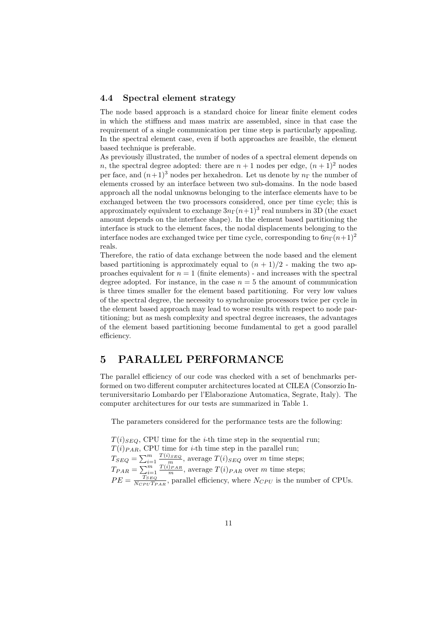#### 4.4 Spectral element strategy

The node based approach is a standard choice for linear finite element codes in which the stiffness and mass matrix are assembled, since in that case the requirement of a single communication per time step is particularly appealing. In the spectral element case, even if both approaches are feasible, the element based technique is preferable.

As previously illustrated, the number of nodes of a spectral element depends on n, the spectral degree adopted: there are  $n+1$  nodes per edge,  $(n+1)^2$  nodes per face, and  $(n+1)^3$  nodes per hexahedron. Let us denote by  $n_{\Gamma}$  the number of elements crossed by an interface between two sub-domains. In the node based approach all the nodal unknowns belonging to the interface elements have to be exchanged between the two processors considered, once per time cycle; this is approximately equivalent to exchange  $3n\Gamma(n+1)^3$  real numbers in 3D (the exact amount depends on the interface shape). In the element based partitioning the interface is stuck to the element faces, the nodal displacements belonging to the interface nodes are exchanged twice per time cycle, corresponding to  $6n\Gamma(n+1)^2$ reals.

Therefore, the ratio of data exchange between the node based and the element based partitioning is approximately equal to  $(n + 1)/2$  - making the two approaches equivalent for  $n = 1$  (finite elements) - and increases with the spectral degree adopted. For instance, in the case  $n = 5$  the amount of communication is three times smaller for the element based partitioning. For very low values of the spectral degree, the necessity to synchronize processors twice per cycle in the element based approach may lead to worse results with respect to node partitioning; but as mesh complexity and spectral degree increases, the advantages of the element based partitioning become fundamental to get a good parallel efficiency.

## 5 PARALLEL PERFORMANCE

The parallel efficiency of our code was checked with a set of benchmarks performed on two different computer architectures located at CILEA (Consorzio Interuniversitario Lombardo per l'Elaborazione Automatica, Segrate, Italy). The computer architectures for our tests are summarized in Table 1.

The parameters considered for the performance tests are the following:

 $T(i)_{SED}$ , CPU time for the *i*-th time step in the sequential run;  $T(i)_{PAR}$ , CPU time for *i*-th time step in the parallel run;  $T_{SEQ} = \sum_{i=1}^{m} \frac{T(i)_{SEQ}}{m}$ , average  $T(i)_{SEQ}$  over m time steps;  $T_{PAR} = \sum_{i=1}^{m} \frac{T(i)_{PAR}}{m}$ , average  $T(i)_{PAR}$  over m time steps;  $PE = \frac{T_{SEQ}}{N_{CDU}T_E}$  $\frac{ISEQ}{N_{CPU}T_{PAR}}$ , parallel efficiency, where  $N_{CPU}$  is the number of CPUs.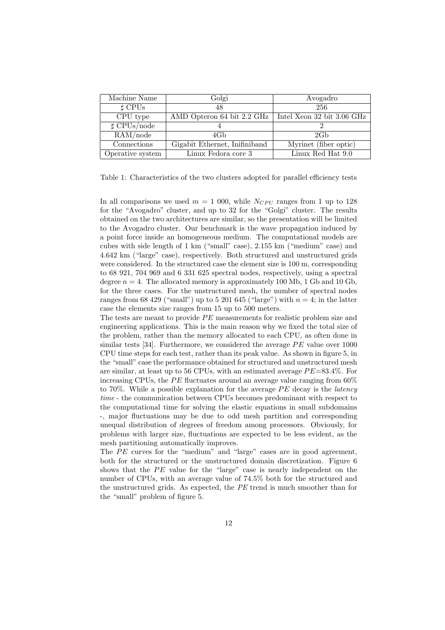| Machine Name       | Golgi                         | Avogadro                   |
|--------------------|-------------------------------|----------------------------|
| $\sharp$ CPUs      | 48                            | 256                        |
| CPU type           | AMD Opteron 64 bit 2.2 GHz    | Intel Xeon 32 bit 3.06 GHz |
| $\sharp$ CPUs/node |                               |                            |
| RAM(node           | 4Gb                           | 2G <sub>b</sub>            |
| Connections        | Gigabit Ethernet, Inifiniband | Myrinet (fiber optic)      |
| Operative system   | Linux Fedora core 3           | Linux Red Hat 9.0          |

Table 1: Characteristics of the two clusters adopted for parallel efficiency tests

In all comparisons we used  $m = 1000$ , while  $N_{CPU}$  ranges from 1 up to 128 for the "Avogadro" cluster, and up to 32 for the "Golgi" cluster. The results obtained on the two architectures are similar, so the presentation will be limited to the Avogadro cluster. Our benchmark is the wave propagation induced by a point force inside an homogeneous medium. The computational models are cubes with side length of 1 km ("small" case), 2.155 km ("medium" case) and 4.642 km ("large" case), respectively. Both structured and unstructured grids were considered. In the structured case the element size is 100 m, corresponding to 68 921, 704 969 and 6 331 625 spectral nodes, respectively, using a spectral degree  $n = 4$ . The allocated memory is approximately 100 Mb, 1 Gb and 10 Gb, for the three cases. For the unstructured mesh, the number of spectral nodes ranges from 68 429 ("small") up to 5 201 645 ("large") with  $n = 4$ ; in the latter case the elements size ranges from 15 up to 500 meters.

The tests are meant to provide PE measurements for realistic problem size and engineering applications. This is the main reason why we fixed the total size of the problem, rather than the memory allocated to each CPU, as often done in similar tests [34]. Furthermore, we considered the average PE value over 1000 CPU time steps for each test, rather than its peak value. As shown in figure 5, in the "small" case the performance obtained for structured and unstructured mesh are similar, at least up to 56 CPUs, with an estimated average  $PE=83.4\%$ . For increasing CPUs, the PE fluctuates around an average value ranging from 60% to 70%. While a possible explanation for the average  $PE$  decay is the *latency* time - the communication between CPUs becomes predominant with respect to the computational time for solving the elastic equations in small subdomains -, major fluctuations may be due to odd mesh partition and corresponding unequal distribution of degrees of freedom among processors. Obviously, for problems with larger size, fluctuations are expected to be less evident, as the mesh partitioning automatically improves.

The PE curves for the "medium" and "large" cases are in good agreement, both for the structured or the unstructured domain discretization. Figure 6 shows that the PE value for the "large" case is nearly independent on the number of CPUs, with an average value of 74.5% both for the structured and the unstructured grids. As expected, the PE trend is much smoother than for the "small" problem of figure 5.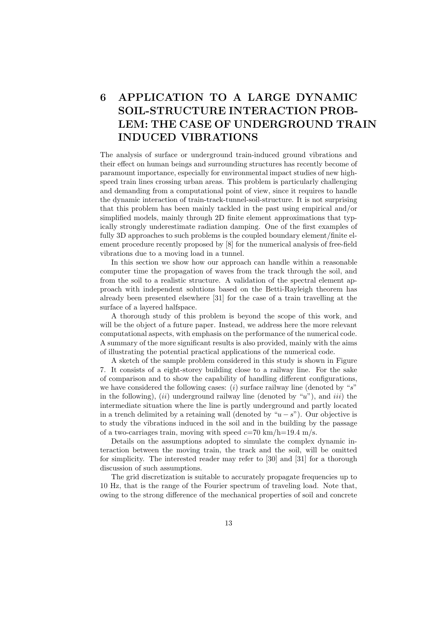# 6 APPLICATION TO A LARGE DYNAMIC SOIL-STRUCTURE INTERACTION PROB-LEM: THE CASE OF UNDERGROUND TRAIN INDUCED VIBRATIONS

The analysis of surface or underground train-induced ground vibrations and their effect on human beings and surrounding structures has recently become of paramount importance, especially for environmental impact studies of new highspeed train lines crossing urban areas. This problem is particularly challenging and demanding from a computational point of view, since it requires to handle the dynamic interaction of train-track-tunnel-soil-structure. It is not surprising that this problem has been mainly tackled in the past using empirical and/or simplified models, mainly through 2D finite element approximations that typically strongly underestimate radiation damping. One of the first examples of fully 3D approaches to such problems is the coupled boundary element/finite element procedure recently proposed by [8] for the numerical analysis of free-field vibrations due to a moving load in a tunnel.

In this section we show how our approach can handle within a reasonable computer time the propagation of waves from the track through the soil, and from the soil to a realistic structure. A validation of the spectral element approach with independent solutions based on the Betti-Rayleigh theorem has already been presented elsewhere [31] for the case of a train travelling at the surface of a layered halfspace.

A thorough study of this problem is beyond the scope of this work, and will be the object of a future paper. Instead, we address here the more relevant computational aspects, with emphasis on the performance of the numerical code. A summary of the more significant results is also provided, mainly with the aims of illustrating the potential practical applications of the numerical code.

A sketch of the sample problem considered in this study is shown in Figure 7. It consists of a eight-storey building close to a railway line. For the sake of comparison and to show the capability of handling different configurations, we have considered the following cases:  $(i)$  surface railway line (denoted by "s" in the following),  $(ii)$  underground railway line (denoted by "u"), and  $iii)$  the intermediate situation where the line is partly underground and partly located in a trench delimited by a retaining wall (denoted by " $u - s$ "). Our objective is to study the vibrations induced in the soil and in the building by the passage of a two-carriages train, moving with speed  $c=70 \text{ km/h}=19.4 \text{ m/s}$ .

Details on the assumptions adopted to simulate the complex dynamic interaction between the moving train, the track and the soil, will be omitted for simplicity. The interested reader may refer to [30] and [31] for a thorough discussion of such assumptions.

The grid discretization is suitable to accurately propagate frequencies up to 10 Hz, that is the range of the Fourier spectrum of traveling load. Note that, owing to the strong difference of the mechanical properties of soil and concrete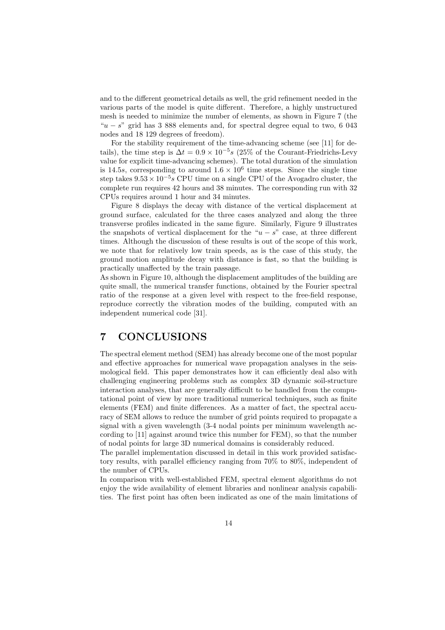and to the different geometrical details as well, the grid refinement needed in the various parts of the model is quite different. Therefore, a highly unstructured mesh is needed to minimize the number of elements, as shown in Figure 7 (the " $u - s$ " grid has 3 888 elements and, for spectral degree equal to two, 6 043 nodes and 18 129 degrees of freedom).

For the stability requirement of the time-advancing scheme (see [11] for details), the time step is  $\Delta t = 0.9 \times 10^{-5} s$  (25% of the Courant-Friedrichs-Levy value for explicit time-advancing schemes). The total duration of the simulation is 14.5s, corresponding to around  $1.6 \times 10^6$  time steps. Since the single time step takes  $9.53 \times 10^{-5}$  CPU time on a single CPU of the Avogadro cluster, the complete run requires 42 hours and 38 minutes. The corresponding run with 32 CPUs requires around 1 hour and 34 minutes.

Figure 8 displays the decay with distance of the vertical displacement at ground surface, calculated for the three cases analyzed and along the three transverse profiles indicated in the same figure. Similarly, Figure 9 illustrates the snapshots of vertical displacement for the " $u - s$ " case, at three different times. Although the discussion of these results is out of the scope of this work, we note that for relatively low train speeds, as is the case of this study, the ground motion amplitude decay with distance is fast, so that the building is practically unaffected by the train passage.

As shown in Figure 10, although the displacement amplitudes of the building are quite small, the numerical transfer functions, obtained by the Fourier spectral ratio of the response at a given level with respect to the free-field response, reproduce correctly the vibration modes of the building, computed with an independent numerical code [31].

## 7 CONCLUSIONS

The spectral element method (SEM) has already become one of the most popular and effective approaches for numerical wave propagation analyses in the seismological field. This paper demonstrates how it can efficiently deal also with challenging engineering problems such as complex 3D dynamic soil-structure interaction analyses, that are generally difficult to be handled from the computational point of view by more traditional numerical techniques, such as finite elements (FEM) and finite differences. As a matter of fact, the spectral accuracy of SEM allows to reduce the number of grid points required to propagate a signal with a given wavelength (3-4 nodal points per minimum wavelength according to [11] against around twice this number for FEM), so that the number of nodal points for large 3D numerical domains is considerably reduced.

The parallel implementation discussed in detail in this work provided satisfactory results, with parallel efficiency ranging from 70% to 80%, independent of the number of CPUs.

In comparison with well-established FEM, spectral element algorithms do not enjoy the wide availability of element libraries and nonlinear analysis capabilities. The first point has often been indicated as one of the main limitations of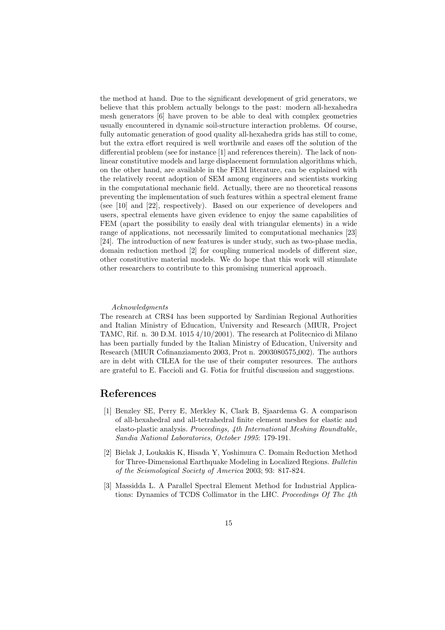the method at hand. Due to the significant development of grid generators, we believe that this problem actually belongs to the past: modern all-hexahedra mesh generators [6] have proven to be able to deal with complex geometries usually encountered in dynamic soil-structure interaction problems. Of course, fully automatic generation of good quality all-hexahedra grids has still to come, but the extra effort required is well worthwile and eases off the solution of the differential problem (see for instance [1] and references therein). The lack of nonlinear constitutive models and large displacement formulation algorithms which, on the other hand, are available in the FEM literature, can be explained with the relatively recent adoption of SEM among engineers and scientists working in the computational mechanic field. Actually, there are no theoretical reasons preventing the implementation of such features within a spectral element frame (see [10] and [22], respectively). Based on our experience of developers and users, spectral elements have given evidence to enjoy the same capabilities of FEM (apart the possibility to easily deal with triangular elements) in a wide range of applications, not necessarily limited to computational mechanics [23] [24]. The introduction of new features is under study, such as two-phase media, domain reduction method [2] for coupling numerical models of different size, other constitutive material models. We do hope that this work will stimulate other researchers to contribute to this promising numerical approach.

#### Acknowledgments

The research at CRS4 has been supported by Sardinian Regional Authorities and Italian Ministry of Education, University and Research (MIUR, Project TAMC, Rif. n. 30 D.M. 1015 4/10/2001). The research at Politecnico di Milano has been partially funded by the Italian Ministry of Education, University and Research (MIUR Cofinanziamento 2003, Prot n. 2003080575 002). The authors are in debt with CILEA for the use of their computer resources. The authors are grateful to E. Faccioli and G. Fotia for fruitful discussion and suggestions.

### References

- [1] Benzley SE, Perry E, Merkley K, Clark B, Sjaardema G. A comparison of all-hexahedral and all-tetrahedral finite element meshes for elastic and elasto-plastic analysis. Proceedings, 4th International Meshing Roundtable, Sandia National Laboratories, October 1995: 179-191.
- [2] Bielak J, Loukakis K, Hisada Y, Yoshimura C. Domain Reduction Method for Three-Dimensional Earthquake Modeling in Localized Regions. Bulletin of the Seismological Society of America 2003; 93: 817-824.
- [3] Massidda L. A Parallel Spectral Element Method for Industrial Applications: Dynamics of TCDS Collimator in the LHC. Proceedings Of The 4th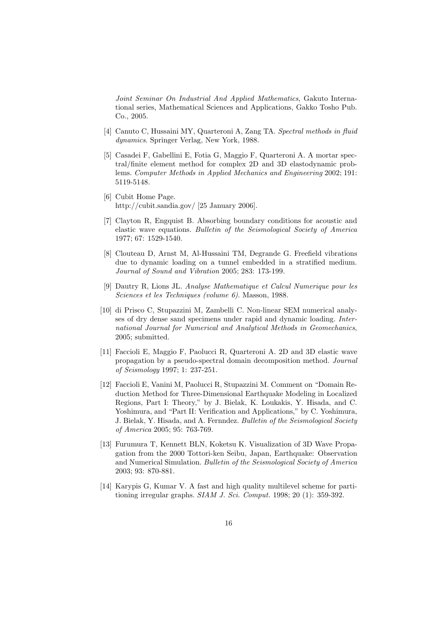Joint Seminar On Industrial And Applied Mathematics, Gakuto International series, Mathematical Sciences and Applications, Gakko Tosho Pub. Co., 2005.

- [4] Canuto C, Hussaini MY, Quarteroni A, Zang TA. Spectral methods in fluid dynamics. Springer Verlag, New York, 1988.
- [5] Casadei F, Gabellini E, Fotia G, Maggio F, Quarteroni A. A mortar spectral/finite element method for complex 2D and 3D elastodynamic problems. Computer Methods in Applied Mechanics and Engineering 2002; 191: 5119-5148.
- [6] Cubit Home Page. http://cubit.sandia.gov/ [25 January 2006].
- [7] Clayton R, Engquist B. Absorbing boundary conditions for acoustic and elastic wave equations. Bulletin of the Seismological Society of America 1977; 67: 1529-1540.
- [8] Clouteau D, Arnst M, Al-Hussaini TM, Degrande G. Freefield vibrations due to dynamic loading on a tunnel embedded in a stratified medium. Journal of Sound and Vibration 2005; 283: 173-199.
- [9] Dautry R, Lions JL. Analyse Mathematique et Calcul Numerique pour les Sciences et les Techniques (volume 6). Masson, 1988.
- [10] di Prisco C, Stupazzini M, Zambelli C. Non-linear SEM numerical analyses of dry dense sand specimens under rapid and dynamic loading. International Journal for Numerical and Analytical Methods in Geomechanics, 2005; submitted.
- [11] Faccioli E, Maggio F, Paolucci R, Quarteroni A. 2D and 3D elastic wave propagation by a pseudo-spectral domain decomposition method. Journal of Seismology 1997; 1: 237-251.
- [12] Faccioli E, Vanini M, Paolucci R, Stupazzini M. Comment on "Domain Reduction Method for Three-Dimensional Earthquake Modeling in Localized Regions, Part I: Theory," by J. Bielak, K. Loukakis, Y. Hisada, and C. Yoshimura, and "Part II: Verification and Applications," by C. Yoshimura, J. Bielak, Y. Hisada, and A. Fernndez. Bulletin of the Seismological Society of America 2005; 95: 763-769.
- [13] Furumura T, Kennett BLN, Koketsu K. Visualization of 3D Wave Propagation from the 2000 Tottori-ken Seibu, Japan, Earthquake: Observation and Numerical Simulation. Bulletin of the Seismological Society of America 2003; 93: 870-881.
- [14] Karypis G, Kumar V. A fast and high quality multilevel scheme for partitioning irregular graphs.  $SIAM J. Sci. Comput.$  1998; 20 (1): 359-392.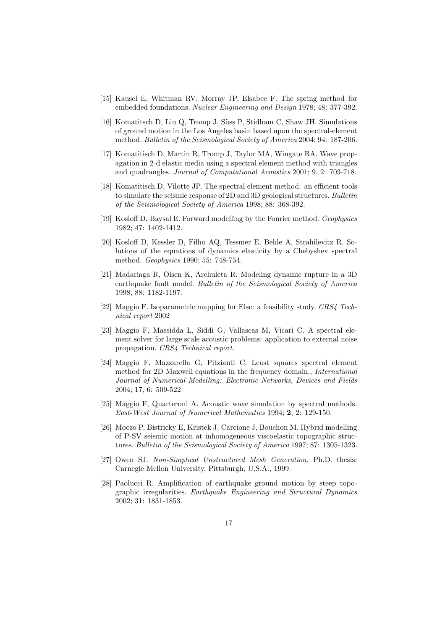- [15] Kausel E, Whitman RV, Morray JP, Elsabee F. The spring method for embedded foundations. Nuclear Engineering and Design 1978; 48: 377-392.
- [16] Komatitsch D, Liu Q, Tromp J, Süss P, Stidham C, Shaw JH. Simulations of ground motion in the Los Angeles basin based upon the spectral-element method. Bulletin of the Seismological Society of America 2004; 94: 187-206.
- [17] Komatitisch D, Martin R, Tromp J, Taylor MA, Wingate BA. Wave propagation in 2-d elastic media using a spectral element method with triangles and quadrangles. Journal of Computational Acoustics 2001; 9, 2: 703-718.
- [18] Komatitisch D, Vilotte JP. The spectral element method: an efficient tools to simulate the seismic response of 2D and 3D geological structures. Bulletin of the Seismological Society of America 1998; 88: 368-392.
- [19] Kosloff D, Baysal E. Forward modelling by the Fourier method. Geophysics 1982; 47: 1402-1412.
- [20] Kosloff D, Kessler D, Filho AQ, Tessmer E, Behle A, Strahilevitz R. Solutions of the equations of dynamics elasticity by a Chebyshev spectral method. Geophysics 1990; 55: 748-754.
- [21] Madariaga R, Olsen K, Archuleta R. Modeling dynamic rupture in a 3D earthquake fault model. Bulletin of the Seismological Society of America 1998; 88: 1182-1197.
- [22] Maggio F. Isoparametric mapping for Else: a feasibility study. CRS4 Technical report 2002
- [23] Maggio F, Massidda L, Siddi G, Vallascas M, Vicari C. A spectral element solver for large scale acoustic problems: application to external noise propagation. CRS4 Technical report.
- [24] Maggio F, Mazzarella G, Pitzianti C. Least squares spectral element method for 2D Maxwell equations in the frequency domain., International Journal of Numerical Modelling: Electronic Networks, Devices and Fields 2004; 17, 6: 509-522
- [25] Maggio F, Quarteroni A. Acoustic wave simulation by spectral methods. East-West Journal of Numerical Mathematics 1994; 2, 2: 129-150.
- [26] Moczo P, Bistricky E, Kristek J, Carcione J, Bouchon M. Hybrid modelling of P-SV seismic motion at inhomogeneous viscoelastic topographic structures. Bulletin of the Seismological Society of America 1997; 87: 1305-1323.
- [27] Owen SJ. Non-Simplical Unstructured Mesh Generation. Ph.D. thesis: Carnegie Mellon University, Pittsburgh, U.S.A., 1999.
- [28] Paolucci R. Amplification of earthquake ground motion by steep topographic irregularities. Earthquake Engineering and Structural Dynamics 2002; 31: 1831-1853.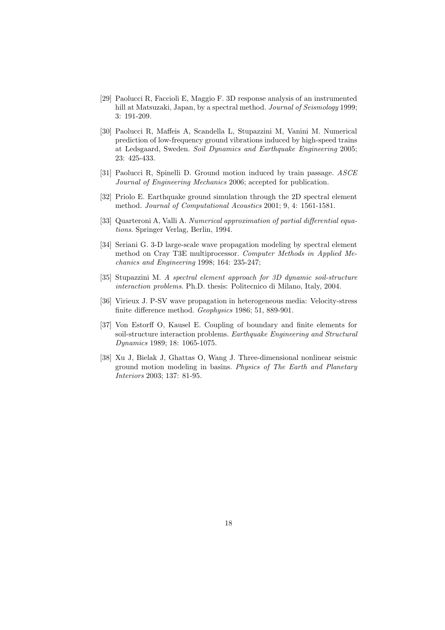- [29] Paolucci R, Faccioli E, Maggio F. 3D response analysis of an instrumented hill at Matsuzaki, Japan, by a spectral method. Journal of Seismology 1999; 3: 191-209.
- [30] Paolucci R, Maffeis A, Scandella L, Stupazzini M, Vanini M. Numerical prediction of low-frequency ground vibrations induced by high-speed trains at Ledsgaard, Sweden. Soil Dynamics and Earthquake Engineering 2005; 23: 425-433.
- [31] Paolucci R, Spinelli D. Ground motion induced by train passage. ASCE Journal of Engineering Mechanics 2006; accepted for publication.
- [32] Priolo E. Earthquake ground simulation through the 2D spectral element method. Journal of Computational Acoustics 2001; 9, 4: 1561-1581.
- [33] Quarteroni A, Valli A. Numerical approximation of partial differential equations. Springer Verlag, Berlin, 1994.
- [34] Seriani G. 3-D large-scale wave propagation modeling by spectral element method on Cray T3E multiprocessor. Computer Methods in Applied Mechanics and Engineering 1998; 164: 235-247;
- [35] Stupazzini M. A spectral element approach for 3D dynamic soil-structure interaction problems. Ph.D. thesis: Politecnico di Milano, Italy, 2004.
- [36] Virieux J. P-SV wave propagation in heterogeneous media: Velocity-stress finite difference method. Geophysics 1986; 51, 889-901.
- [37] Von Estorff O, Kausel E. Coupling of boundary and finite elements for soil-structure interaction problems. Earthquake Engineering and Structural Dynamics 1989; 18: 1065-1075.
- [38] Xu J, Bielak J, Ghattas O, Wang J. Three-dimensional nonlinear seismic ground motion modeling in basins. Physics of The Earth and Planetary Interiors 2003; 137: 81-95.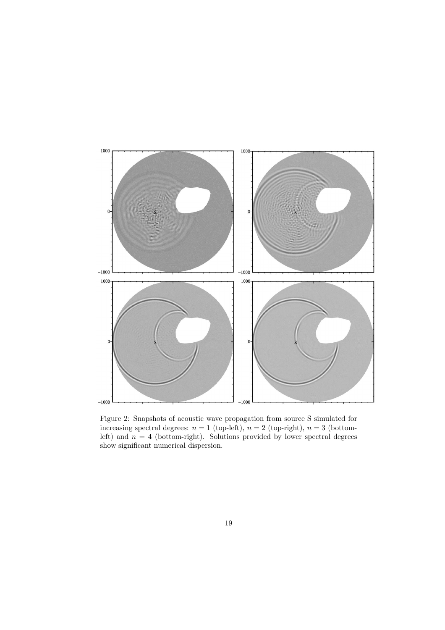

Figure 2: Snapshots of acoustic wave propagation from source S simulated for increasing spectral degrees:  $n = 1$  (top-left),  $n = 2$  (top-right),  $n = 3$  (bottomleft) and  $n = 4$  (bottom-right). Solutions provided by lower spectral degrees show significant numerical dispersion.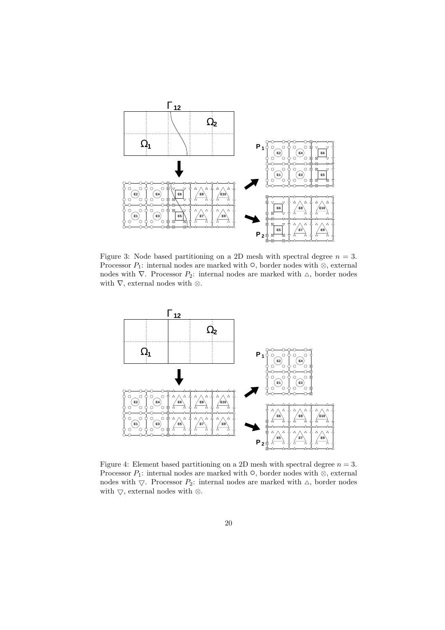

Figure 3: Node based partitioning on a 2D mesh with spectral degree  $n = 3$ . Processor  $P_1$ : internal nodes are marked with  $\circ$ , border nodes with  $\otimes$ , external nodes with  $\nabla$ . Processor  $P_2$ : internal nodes are marked with  $\triangle$ , border nodes with  $\nabla$ , external nodes with  $\otimes$ .



Figure 4: Element based partitioning on a 2D mesh with spectral degree  $n = 3$ . Processor  $P_1$ : internal nodes are marked with  $\circ$ , border nodes with  $\otimes$ , external nodes with  $\bigtriangledown$ . Processor  $P_2$ : internal nodes are marked with  $\bigtriangleup$ , border nodes with  $\bigtriangledown,$  external nodes with  $\otimes.$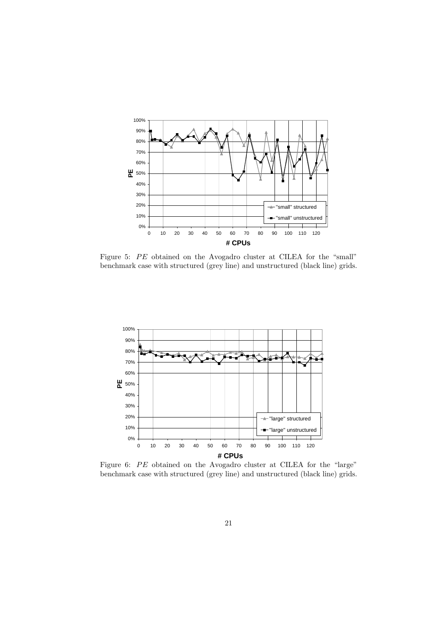

Figure 5: PE obtained on the Avogadro cluster at CILEA for the "small" benchmark case with structured (grey line) and unstructured (black line) grids.



Figure 6: PE obtained on the Avogadro cluster at CILEA for the "large" benchmark case with structured (grey line) and unstructured (black line) grids.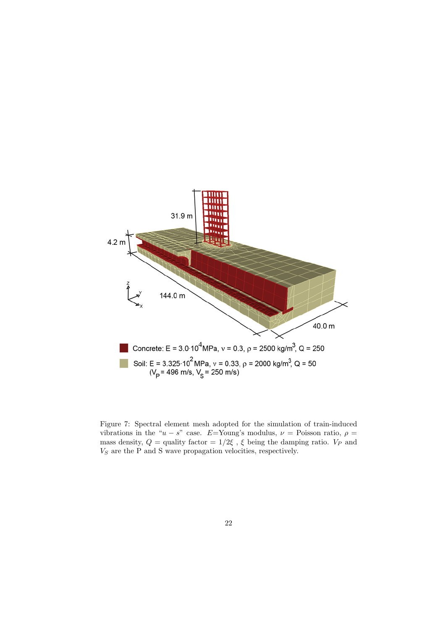

Figure 7: Spectral element mesh adopted for the simulation of train-induced vibrations in the " $u - s$ " case. E=Young's modulus,  $\nu$  = Poisson ratio,  $\rho$  = mass density,  $Q =$  quality factor =  $1/2\xi$ ,  $\xi$  being the damping ratio.  $V_P$  and  $V<sub>S</sub>$  are the P and S wave propagation velocities, respectively.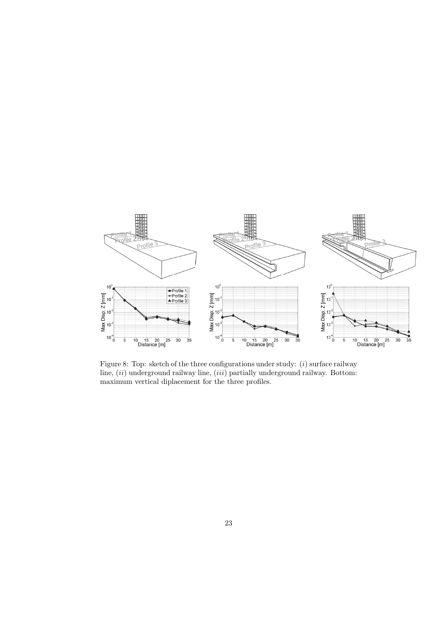

Figure 8: Top: sketch of the three configurations under study:  $(i)$  surface railway line,  $(ii)$  underground railway line,  $(iii)$  partially underground railway. Bottom: maximum vertical diplacement for the three profiles.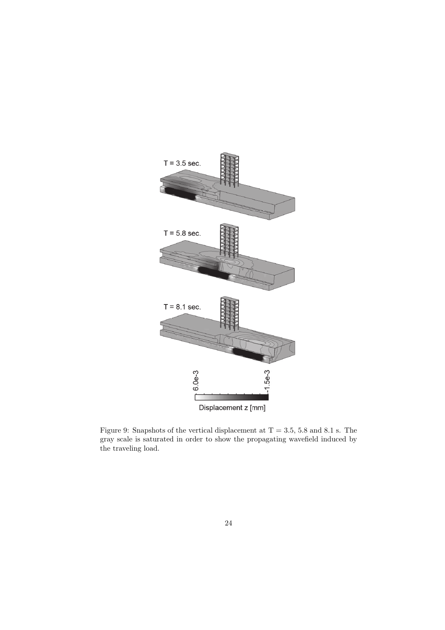

Figure 9: Snapshots of the vertical displacement at  $T = 3.5, 5.8$  and  $8.1$  s. The gray scale is saturated in order to show the propagating wavefield induced by the traveling load.